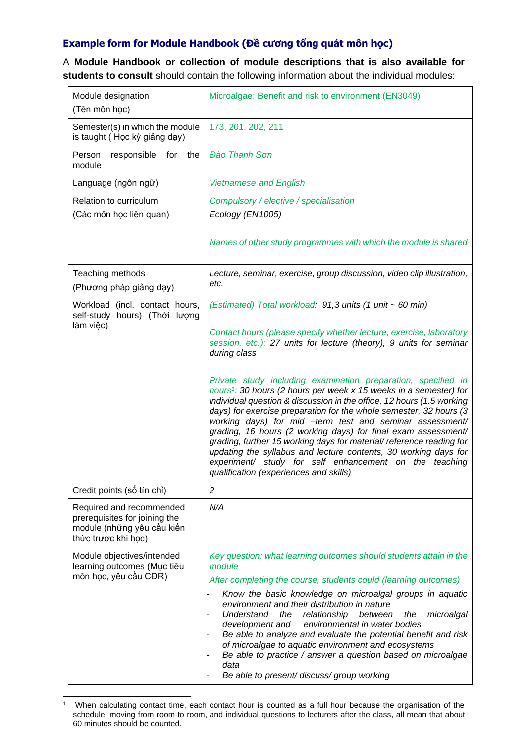## **Example form for Module Handbook (Đề cương tổng quát môn học)**

A **Module Handbook or collection of module descriptions that is also available for students to consult** should contain the following information about the individual modules:

| Module designation<br>(Tên môn học)                                                                            | Microalgae: Benefit and risk to environment (EN3049)                                                                                                                                                                                                                                                                                                                                                                                                                                                                                                                                                                                                                        |
|----------------------------------------------------------------------------------------------------------------|-----------------------------------------------------------------------------------------------------------------------------------------------------------------------------------------------------------------------------------------------------------------------------------------------------------------------------------------------------------------------------------------------------------------------------------------------------------------------------------------------------------------------------------------------------------------------------------------------------------------------------------------------------------------------------|
| Semester(s) in which the module<br>is taught (Học kỳ giảng dạy)                                                | 173, 201, 202, 211                                                                                                                                                                                                                                                                                                                                                                                                                                                                                                                                                                                                                                                          |
| Person<br>responsible<br>for the<br>module                                                                     | <b>Đào Thanh Sơn</b>                                                                                                                                                                                                                                                                                                                                                                                                                                                                                                                                                                                                                                                        |
| Language (ngôn ngữ)                                                                                            | <b>Vietnamese and English</b>                                                                                                                                                                                                                                                                                                                                                                                                                                                                                                                                                                                                                                               |
| Relation to curriculum<br>(Các môn học liên quan)                                                              | Compulsory / elective / specialisation<br>Ecology (EN1005)                                                                                                                                                                                                                                                                                                                                                                                                                                                                                                                                                                                                                  |
|                                                                                                                | Names of other study programmes with which the module is shared                                                                                                                                                                                                                                                                                                                                                                                                                                                                                                                                                                                                             |
| Teaching methods<br>(Phương pháp giảng dạy)                                                                    | Lecture, seminar, exercise, group discussion, video clip illustration,<br>etc.                                                                                                                                                                                                                                                                                                                                                                                                                                                                                                                                                                                              |
| Workload (incl. contact hours,<br>self-study hours) (Thời lượng<br>làm việc)                                   | (Estimated) Total workload: 91,3 units (1 unit ~ 60 min)                                                                                                                                                                                                                                                                                                                                                                                                                                                                                                                                                                                                                    |
|                                                                                                                | Contact hours (please specify whether lecture, exercise, laboratory<br>session, etc.): 27 units for lecture (theory), 9 units for seminar<br>during class                                                                                                                                                                                                                                                                                                                                                                                                                                                                                                                   |
|                                                                                                                | Private study including examination preparation, specified in<br>hours <sup>1</sup> : 30 hours (2 hours per week $x$ 15 weeks in a semester) for<br>individual question & discussion in the office, 12 hours (1.5 working<br>days) for exercise preparation for the whole semester, 32 hours (3<br>working days) for mid -term test and seminar assessment/<br>grading, 16 hours (2 working days) for final exam assessment/<br>grading, further 15 working days for material/ reference reading for<br>updating the syllabus and lecture contents, 30 working days for<br>experiment/ study for self enhancement on the teaching<br>qualification (experiences and skills) |
| Credit points (số tín chỉ)                                                                                     | $\overline{c}$                                                                                                                                                                                                                                                                                                                                                                                                                                                                                                                                                                                                                                                              |
| Required and recommended<br>prerequisites for joining the<br>module (những yêu cầu kiến<br>thức trược khi học) | N/A                                                                                                                                                                                                                                                                                                                                                                                                                                                                                                                                                                                                                                                                         |
| Module objectives/intended<br>learning outcomes (Mục tiêu<br>môn học, yêu cầu CĐR)                             | Key question: what learning outcomes should students attain in the<br>module<br>After completing the course, students could (learning outcomes)<br>Know the basic knowledge on microalgal groups in aquatic<br>-<br>environment and their distribution in nature<br><b>Understand</b><br>the<br>relationship<br>between<br>microalgal<br>the<br>environmental in water bodies<br>development and<br>Be able to analyze and evaluate the potential benefit and risk<br>of microalgae to aquatic environment and ecosystems<br>Be able to practice / answer a question based on microalgae<br>data<br>Be able to present/ discuss/ group working                              |

<sup>1</sup> When calculating contact time, each contact hour is counted as a full hour because the organisation of the schedule, moving from room to room, and individual questions to lecturers after the class, all mean that about 60 minutes should be counted.